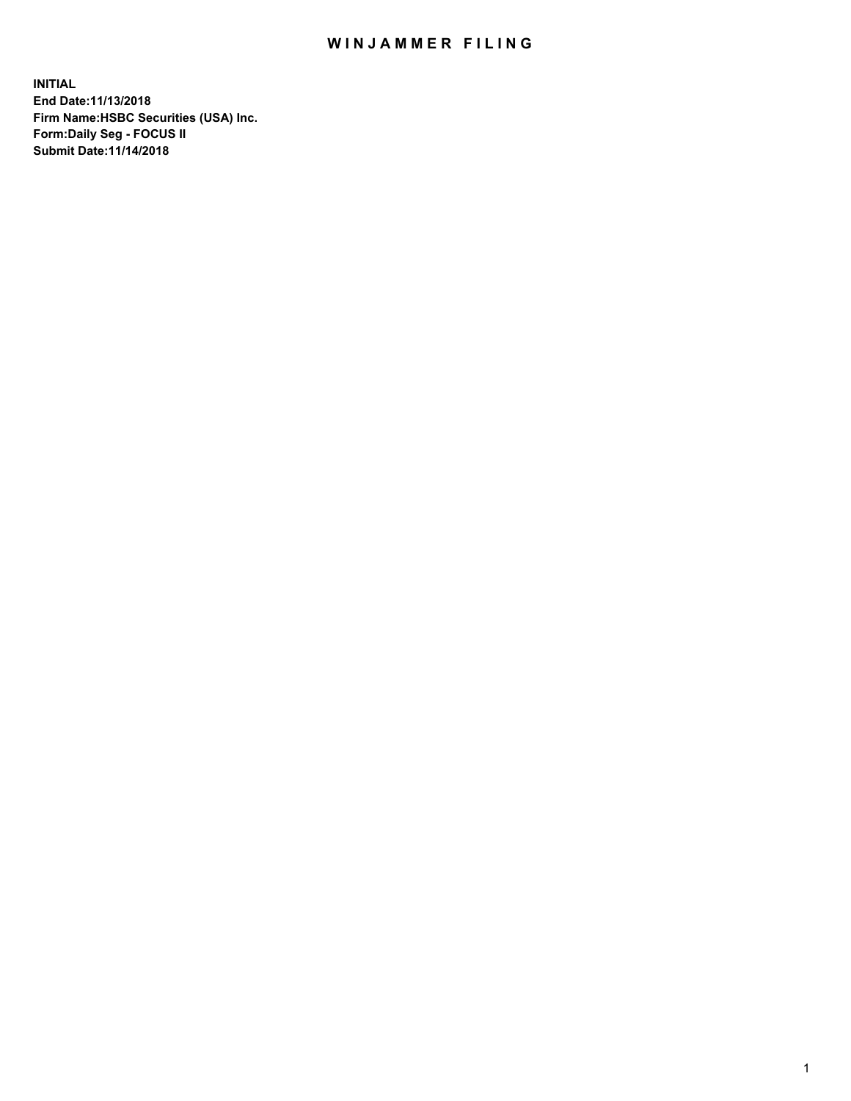## WIN JAMMER FILING

**INITIAL End Date:11/13/2018 Firm Name:HSBC Securities (USA) Inc. Form:Daily Seg - FOCUS II Submit Date:11/14/2018**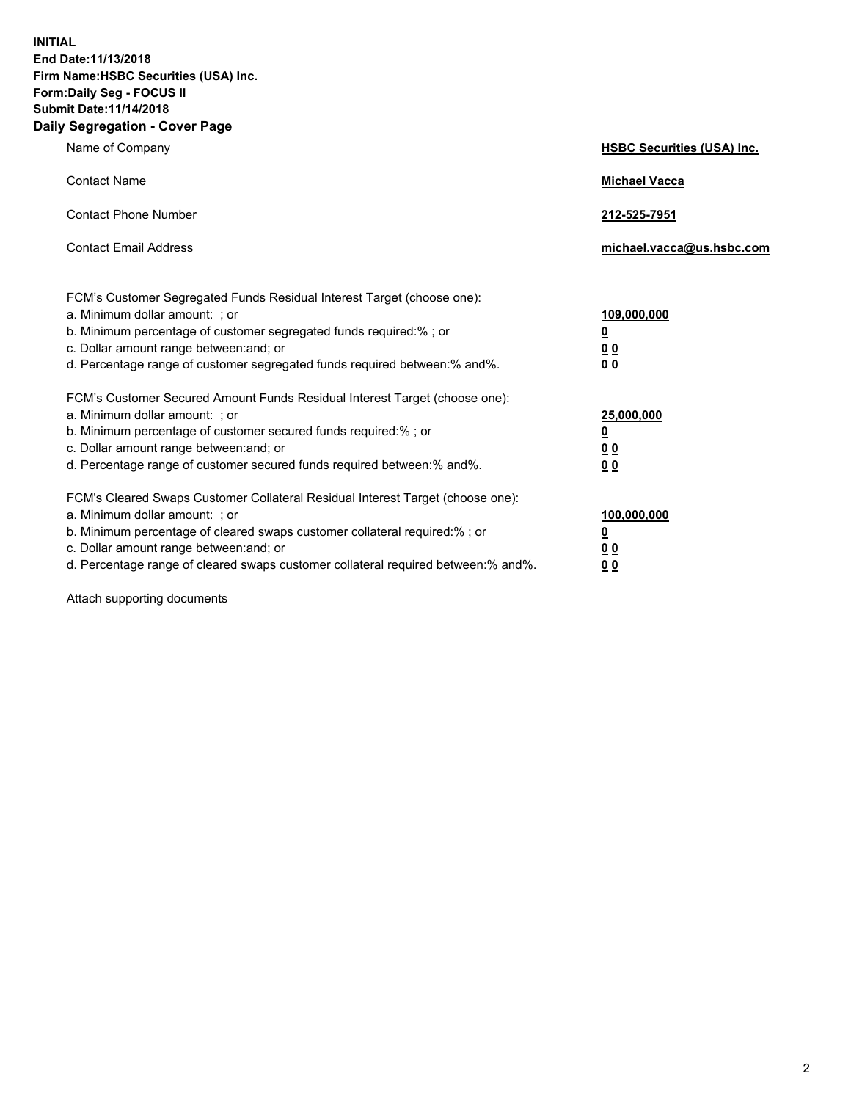**INITIAL End Date:11/13/2018 Firm Name:HSBC Securities (USA) Inc. Form:Daily Seg - FOCUS II Submit Date:11/14/2018 Daily Segregation - Cover Page**

| Name of Company                                                                                                                                                                                                                                                                                                                | <b>HSBC Securities (USA) Inc.</b>                                          |
|--------------------------------------------------------------------------------------------------------------------------------------------------------------------------------------------------------------------------------------------------------------------------------------------------------------------------------|----------------------------------------------------------------------------|
| <b>Contact Name</b>                                                                                                                                                                                                                                                                                                            | <b>Michael Vacca</b>                                                       |
| <b>Contact Phone Number</b>                                                                                                                                                                                                                                                                                                    | 212-525-7951                                                               |
| <b>Contact Email Address</b>                                                                                                                                                                                                                                                                                                   | michael.vacca@us.hsbc.com                                                  |
| FCM's Customer Segregated Funds Residual Interest Target (choose one):<br>a. Minimum dollar amount: : or<br>b. Minimum percentage of customer segregated funds required:% ; or<br>c. Dollar amount range between: and; or<br>d. Percentage range of customer segregated funds required between:% and%.                         | 109,000,000<br>$\overline{\mathbf{0}}$<br>0 <sub>0</sub><br>0 <sub>0</sub> |
| FCM's Customer Secured Amount Funds Residual Interest Target (choose one):<br>a. Minimum dollar amount: ; or<br>b. Minimum percentage of customer secured funds required:%; or<br>c. Dollar amount range between: and; or<br>d. Percentage range of customer secured funds required between:% and%.                            | 25,000,000<br><u>0</u><br>0 <sub>0</sub><br>00                             |
| FCM's Cleared Swaps Customer Collateral Residual Interest Target (choose one):<br>a. Minimum dollar amount: ; or<br>b. Minimum percentage of cleared swaps customer collateral required:% ; or<br>c. Dollar amount range between: and; or<br>d. Percentage range of cleared swaps customer collateral required between:% and%. | 100,000,000<br><u>0</u><br>00<br>0 <sub>0</sub>                            |

Attach supporting documents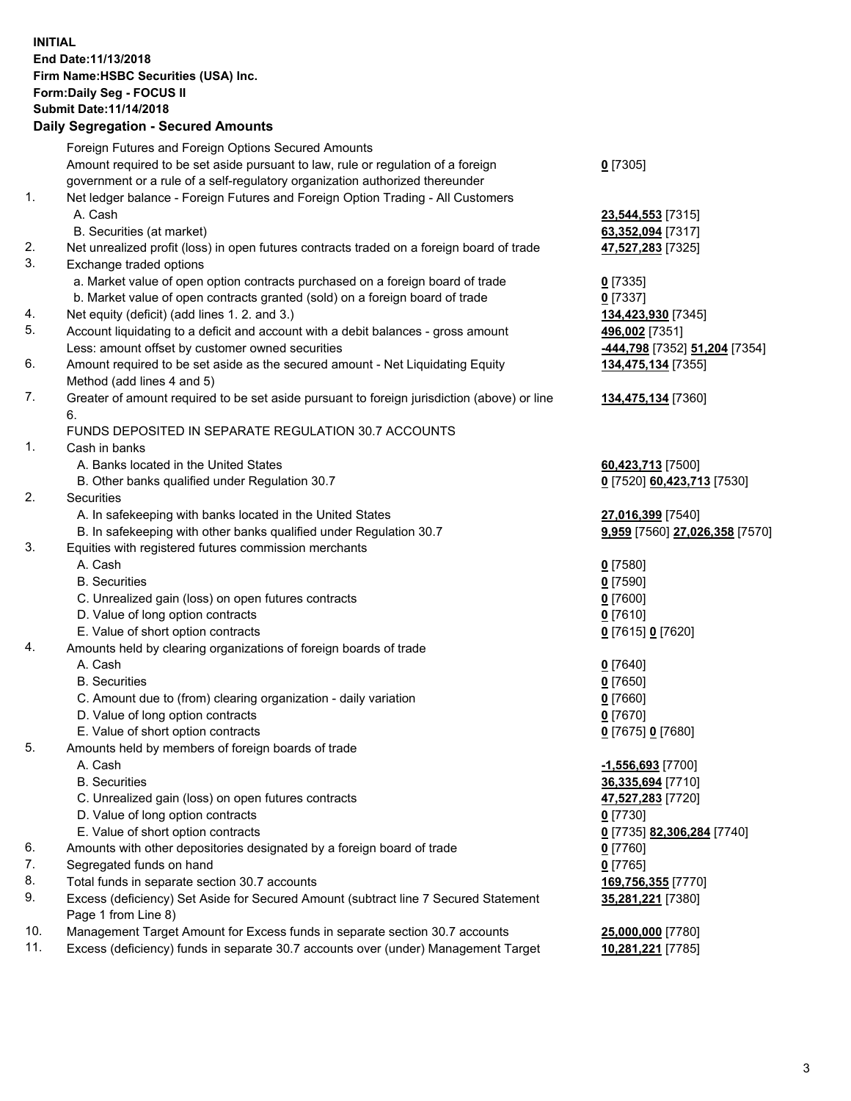**INITIAL End Date:11/13/2018 Firm Name:HSBC Securities (USA) Inc. Form:Daily Seg - FOCUS II Submit Date:11/14/2018 Daily Segregation - Secured Amounts** Foreign Futures and Foreign Options Secured Amounts Amount required to be set aside pursuant to law, rule or regulation of a foreign government or a rule of a self-regulatory organization authorized thereunder 1. Net ledger balance - Foreign Futures and Foreign Option Trading - All Customers A. Cash **23,544,553** [7315] B. Securities (at market) **63,352,094** [7317]

- 2. Net unrealized profit (loss) in open futures contracts traded on a foreign board of trade **47,527,283** [7325]
- 3. Exchange traded options
	- a. Market value of open option contracts purchased on a foreign board of trade **0** [7335]

**0** [7305]

**134,475,134** [7355]

**134,475,134** [7360]

**35,281,221** [7380]

- b. Market value of open contracts granted (sold) on a foreign board of trade **0** [7337]
- 4. Net equity (deficit) (add lines 1. 2. and 3.) **134,423,930** [7345]
- 5. Account liquidating to a deficit and account with a debit balances gross amount **496,002** [7351] Less: amount offset by customer owned securities **-444,798** [7352] **51,204** [7354]
- 6. Amount required to be set aside as the secured amount Net Liquidating Equity Method (add lines 4 and 5)
- 7. Greater of amount required to be set aside pursuant to foreign jurisdiction (above) or line 6.

## FUNDS DEPOSITED IN SEPARATE REGULATION 30.7 ACCOUNTS

- 1. Cash in banks
	- A. Banks located in the United States **60,423,713** [7500]
	- B. Other banks qualified under Regulation 30.7 **0** [7520] **60,423,713** [7530]
- 2. Securities
	- A. In safekeeping with banks located in the United States **27,016,399** [7540]
	- B. In safekeeping with other banks qualified under Regulation 30.7 **9,959** [7560] **27,026,358** [7570]
- 3. Equities with registered futures commission merchants
	- A. Cash **0** [7580]
	- B. Securities **0** [7590]
	- C. Unrealized gain (loss) on open futures contracts **0** [7600]
	- D. Value of long option contracts **0** [7610]
	- E. Value of short option contracts **0** [7615] **0** [7620]
- 4. Amounts held by clearing organizations of foreign boards of trade
	- A. Cash **0** [7640]
	- B. Securities **0** [7650]
	- C. Amount due to (from) clearing organization daily variation **0** [7660]
	- D. Value of long option contracts **0** [7670]
	- E. Value of short option contracts **0** [7675] **0** [7680]
- 5. Amounts held by members of foreign boards of trade
	- A. Cash **-1,556,693** [7700]
	- B. Securities **36,335,694** [7710]
	- C. Unrealized gain (loss) on open futures contracts **47,527,283** [7720]
	- D. Value of long option contracts **0** [7730]
	- E. Value of short option contracts **0** [7735] **82,306,284** [7740]
- 6. Amounts with other depositories designated by a foreign board of trade **0** [7760]
- 7. Segregated funds on hand **0** [7765]
- 8. Total funds in separate section 30.7 accounts **169,756,355** [7770]
- 9. Excess (deficiency) Set Aside for Secured Amount (subtract line 7 Secured Statement Page 1 from Line 8)
- 10. Management Target Amount for Excess funds in separate section 30.7 accounts **25,000,000** [7780]
- 11. Excess (deficiency) funds in separate 30.7 accounts over (under) Management Target **10,281,221** [7785]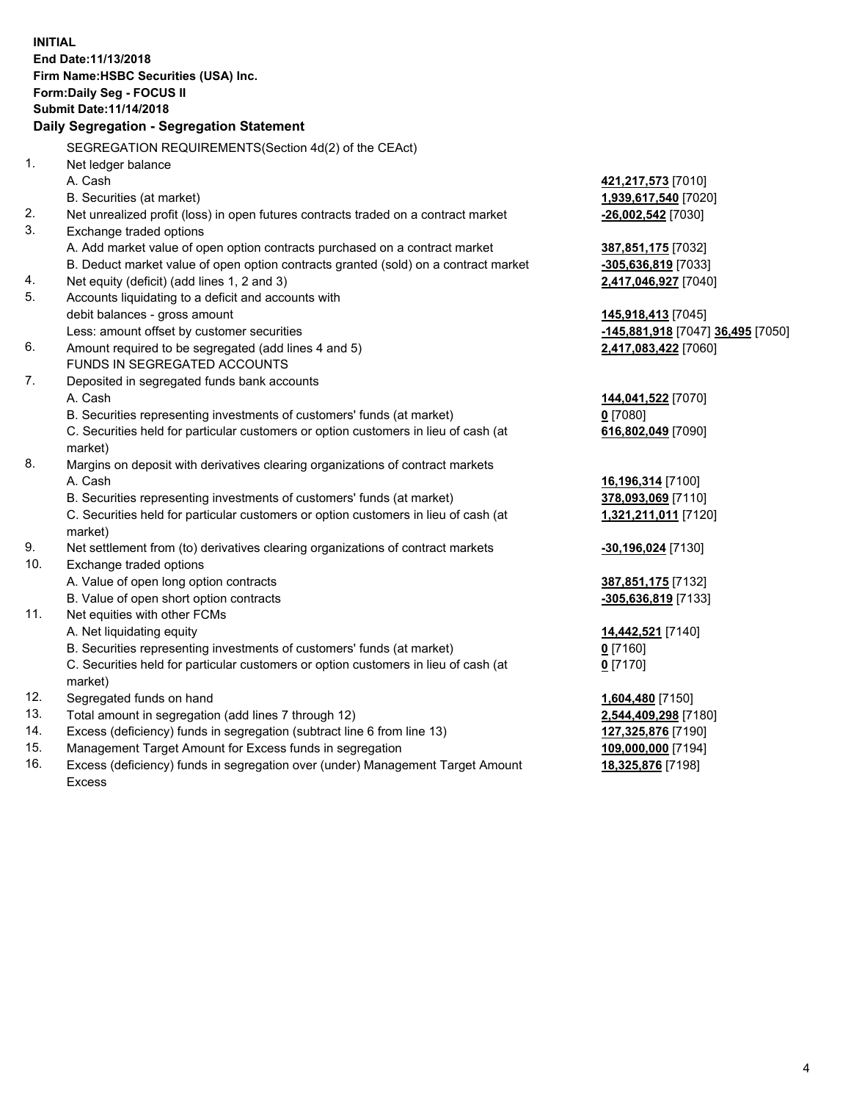**INITIAL End Date:11/13/2018 Firm Name:HSBC Securities (USA) Inc. Form:Daily Seg - FOCUS II Submit Date:11/14/2018 Daily Segregation - Segregation Statement** SEGREGATION REQUIREMENTS(Section 4d(2) of the CEAct) 1. Net ledger balance A. Cash **421,217,573** [7010] B. Securities (at market) **1,939,617,540** [7020] 2. Net unrealized profit (loss) in open futures contracts traded on a contract market **-26,002,542** [7030] 3. Exchange traded options A. Add market value of open option contracts purchased on a contract market **387,851,175** [7032] B. Deduct market value of open option contracts granted (sold) on a contract market **-305,636,819** [7033] 4. Net equity (deficit) (add lines 1, 2 and 3) **2,417,046,927** [7040] 5. Accounts liquidating to a deficit and accounts with debit balances - gross amount **145,918,413** [7045] Less: amount offset by customer securities **-145,881,918** [7047] **36,495** [7050] 6. Amount required to be segregated (add lines 4 and 5) **2,417,083,422** [7060] FUNDS IN SEGREGATED ACCOUNTS 7. Deposited in segregated funds bank accounts A. Cash **144,041,522** [7070] B. Securities representing investments of customers' funds (at market) **0** [7080] C. Securities held for particular customers or option customers in lieu of cash (at market) **616,802,049** [7090] 8. Margins on deposit with derivatives clearing organizations of contract markets A. Cash **16,196,314** [7100] B. Securities representing investments of customers' funds (at market) **378,093,069** [7110] C. Securities held for particular customers or option customers in lieu of cash (at market) **1,321,211,011** [7120] 9. Net settlement from (to) derivatives clearing organizations of contract markets **-30,196,024** [7130] 10. Exchange traded options A. Value of open long option contracts **387,851,175** [7132] B. Value of open short option contracts **-305,636,819** [7133] 11. Net equities with other FCMs A. Net liquidating equity **14,442,521** [7140] B. Securities representing investments of customers' funds (at market) **0** [7160] C. Securities held for particular customers or option customers in lieu of cash (at market) **0** [7170] 12. Segregated funds on hand **1,604,480** [7150] 13. Total amount in segregation (add lines 7 through 12) **2,544,409,298** [7180] 14. Excess (deficiency) funds in segregation (subtract line 6 from line 13) **127,325,876** [7190] 15. Management Target Amount for Excess funds in segregation **109,000,000** [7194] 16. Excess (deficiency) funds in segregation over (under) Management Target Amount **18,325,876** [7198]

Excess